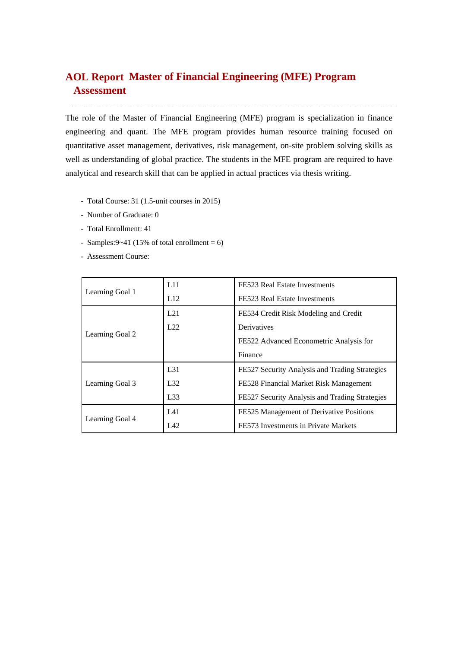# **Master of Financial Engineering (MFE) Program AOL ReportAssessment**

The role of the Master of Financial Engineering (MFE) program is specialization in finance engineering and quant. The MFE program provides human resource training focused on quantitative asset management, derivatives, risk management, on-site problem solving skills as well as understanding of global practice. The students in the MFE program are required to have analytical and research skill that can be applied in actual practices via thesis writing.

- Total Course: 31 (1.5-unit courses in 2015)
- Number of Graduate: 0
- Total Enrollment: 41
- Samples: $9~-41$  (15% of total enrollment = 6)
- Assessment Course:

|                 | L11             | FE523 Real Estate Investments                  |  |  |
|-----------------|-----------------|------------------------------------------------|--|--|
| Learning Goal 1 | L12             | FE523 Real Estate Investments                  |  |  |
|                 | L21             | FE534 Credit Risk Modeling and Credit          |  |  |
|                 | L22             | Derivatives                                    |  |  |
| Learning Goal 2 |                 | FE522 Advanced Econometric Analysis for        |  |  |
|                 |                 | Finance                                        |  |  |
|                 | L <sub>31</sub> | FE527 Security Analysis and Trading Strategies |  |  |
| Learning Goal 3 | L32             | FE528 Financial Market Risk Management         |  |  |
|                 | L33             | FE527 Security Analysis and Trading Strategies |  |  |
|                 | L41             | FE525 Management of Derivative Positions       |  |  |
| Learning Goal 4 | L42             | FE573 Investments in Private Markets           |  |  |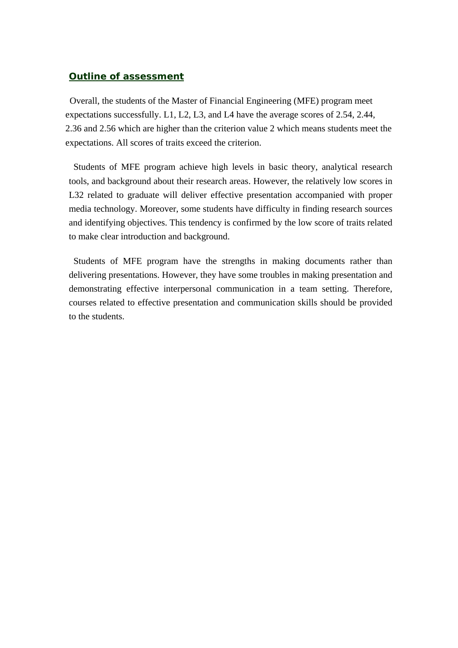### *Outline of assessment*

Overall, the students of the Master of Financial Engineering (MFE) program meet expectations successfully. L1, L2, L3, and L4 have the average scores of 2.54, 2.44, 2.36 and 2.56 which are higher than the criterion value 2 which means students meet the expectations. All scores of traits exceed the criterion.

 Students of MFE program achieve high levels in basic theory, analytical research tools, and background about their research areas. However, the relatively low scores in L32 related to graduate will deliver effective presentation accompanied with proper media technology. Moreover, some students have difficulty in finding research sources and identifying objectives. This tendency is confirmed by the low score of traits related to make clear introduction and background.

Students of MFE program have the strengths in making documents rather than delivering presentations. However, they have some troubles in making presentation and demonstrating effective interpersonal communication in a team setting. Therefore, courses related to effective presentation and communication skills should be provided to the students.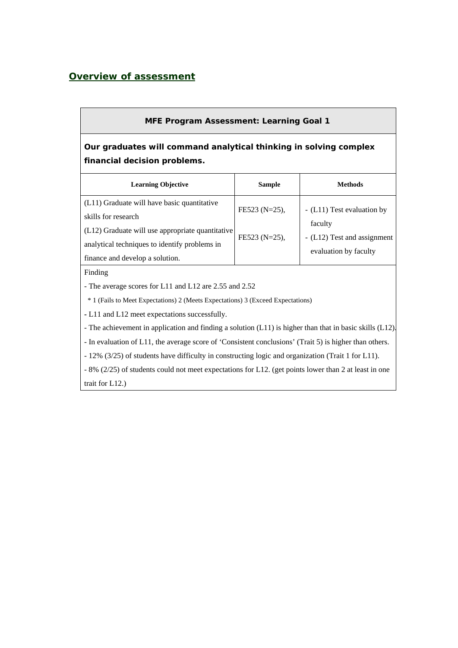## *Overview of assessment*

### **MFE Program Assessment: Learning Goal 1**

# **Our graduates will command analytical thinking in solving complex financial decision problems.**

| <b>Learning Objective</b>                                                                                                                                                                                  | <b>Sample</b>                     | Methods                                                                                       |
|------------------------------------------------------------------------------------------------------------------------------------------------------------------------------------------------------------|-----------------------------------|-----------------------------------------------------------------------------------------------|
| (L11) Graduate will have basic quantitative<br>skills for research<br>(L12) Graduate will use appropriate quantitative<br>analytical techniques to identify problems in<br>finance and develop a solution. | FE523 (N=25),<br>$FE523 (N=25)$ , | - (L11) Test evaluation by<br>faculty<br>- (L12) Test and assignment<br>evaluation by faculty |

#### Finding

- The average scores for L11 and L12 are 2.55 and 2.52

\* 1 (Fails to Meet Expectations) 2 (Meets Expectations) 3 (Exceed Expectations)

**-** L11 and L12 meet expectations successfully.

- The achievement in application and finding a solution (L11) is higher than that in basic skills (L12).

- In evaluation of L11, the average score of 'Consistent conclusions' (Trait 5) is higher than others.

- 12% (3/25) of students have difficulty in constructing logic and organization (Trait 1 for L11).

- 8% (2/25) of students could not meet expectations for L12. (get points lower than 2 at least in one

trait for L12.)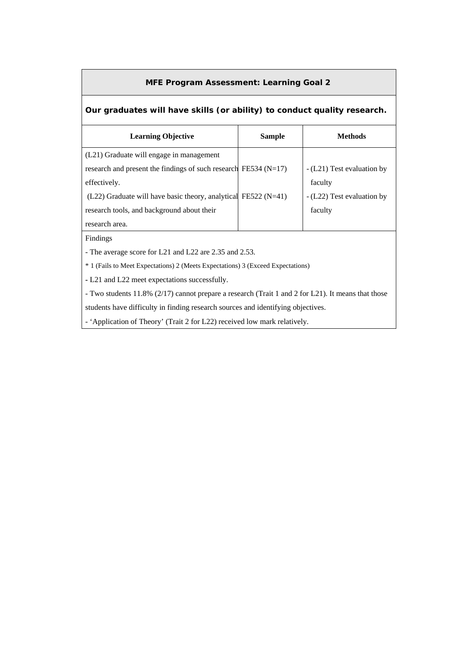#### **MFE Program Assessment: Learning Goal 2**

#### **Our graduates will have skills (or ability) to conduct quality research.**

| <b>Learning Objective</b>                                           | <b>Sample</b> | <b>Methods</b>             |
|---------------------------------------------------------------------|---------------|----------------------------|
| (L21) Graduate will engage in management                            |               |                            |
| research and present the findings of such research FE534 ( $N=17$ ) |               | - (L21) Test evaluation by |
| effectively.                                                        |               | faculty                    |
| $(L22)$ Graduate will have basic theory, analytical FE522 (N=41)    |               | - (L22) Test evaluation by |
| research tools, and background about their                          |               | faculty                    |
| research area.                                                      |               |                            |

Findings

- The average score for L21 and L22 are 2.35 and 2.53.

\* 1 (Fails to Meet Expectations) 2 (Meets Expectations) 3 (Exceed Expectations)

**-** L21 and L22 meet expectations successfully.

- Two students 11.8% (2/17) cannot prepare a research (Trait 1 and 2 for L21). It means that those

students have difficulty in finding research sources and identifying objectives.

- 'Application of Theory' (Trait 2 for L22) received low mark relatively.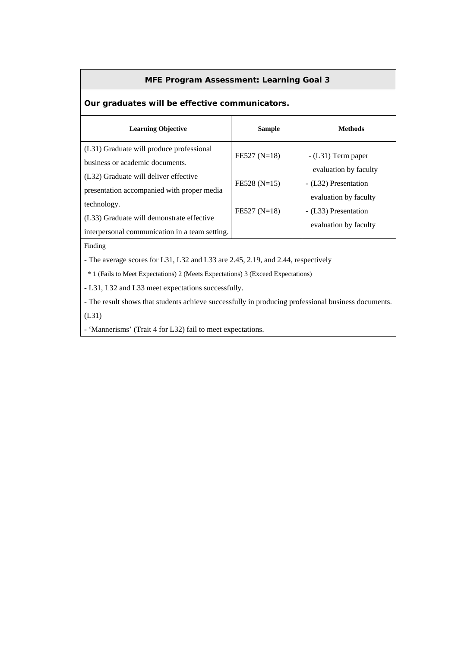#### **MFE Program Assessment: Learning Goal 3**

## **Our graduates will be effective communicators.**

| <b>Learning Objective</b>                                                                                  | <b>Sample</b>  | <b>Methods</b>                                |
|------------------------------------------------------------------------------------------------------------|----------------|-----------------------------------------------|
| (L31) Graduate will produce professional<br>business or academic documents.                                | $FE527 (N=18)$ | $-L31$ ) Term paper<br>evaluation by faculty  |
| (L32) Graduate will deliver effective<br>presentation accompanied with proper media                        | $FE528 (N=15)$ | - (L32) Presentation<br>evaluation by faculty |
| technology.<br>(L33) Graduate will demonstrate effective<br>interpersonal communication in a team setting. | $FE527 (N=18)$ | - (L33) Presentation<br>evaluation by faculty |

Finding

- The average scores for L31, L32 and L33 are 2.45, 2.19, and 2.44, respectively

\* 1 (Fails to Meet Expectations) 2 (Meets Expectations) 3 (Exceed Expectations)

**-** L31, L32 and L33 meet expectations successfully.

- The result shows that students achieve successfully in producing professional business documents. (L31)

- 'Mannerisms' (Trait 4 for L32) fail to meet expectations.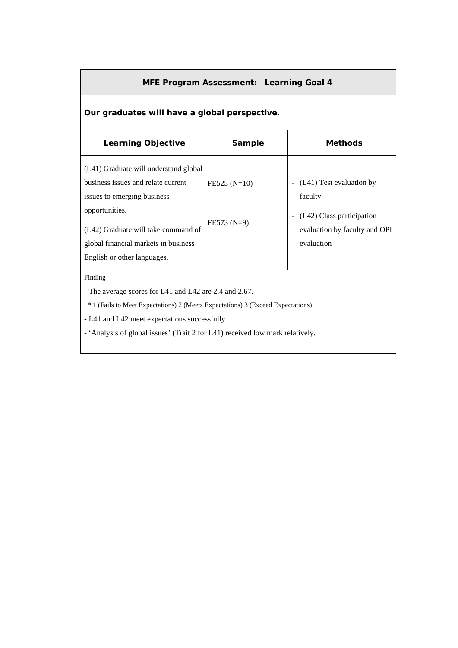#### **MFE Program Assessment: Learning Goal 4**

### **Our graduates will have a global perspective.**

| <b>Learning Objective</b>                                                                                                                                                                                                                  | Sample                         | <b>Methods</b>                                                                                                  |  |  |  |  |  |  |  |
|--------------------------------------------------------------------------------------------------------------------------------------------------------------------------------------------------------------------------------------------|--------------------------------|-----------------------------------------------------------------------------------------------------------------|--|--|--|--|--|--|--|
| (L41) Graduate will understand global<br>business issues and relate current<br>issues to emerging business<br>opportunities.<br>(L42) Graduate will take command of<br>global financial markets in business<br>English or other languages. | $FE525(N=10)$<br>$FE573 (N=9)$ | (L41) Test evaluation by<br>faculty<br>(L42) Class participation<br>evaluation by faculty and OPI<br>evaluation |  |  |  |  |  |  |  |
| Finding<br>- The average scores for L41 and L42 are 2.4 and 2.67.<br><sup>*</sup> 1 (Fails to Meet Expectations) 2 (Meets Expectations) 3 (Exceed Expectations)                                                                            |                                |                                                                                                                 |  |  |  |  |  |  |  |
| - L41 and L42 meet expectations successfully.                                                                                                                                                                                              |                                |                                                                                                                 |  |  |  |  |  |  |  |

- 'Analysis of global issues' (Trait 2 for L41) received low mark relatively.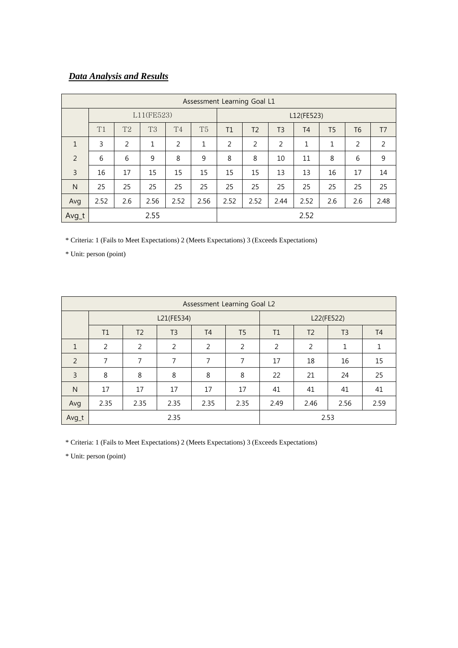# *Data Analysis and Results*

|                | Assessment Learning Goal L1 |                |           |                |                |            |                |                |           |     |                |                |
|----------------|-----------------------------|----------------|-----------|----------------|----------------|------------|----------------|----------------|-----------|-----|----------------|----------------|
|                | L11(FE523)                  |                |           |                |                | L12(FE523) |                |                |           |     |                |                |
|                | T1                          | T <sub>2</sub> | <b>T3</b> | T <sub>4</sub> | T <sub>5</sub> | T1         | T <sub>2</sub> | T <sub>3</sub> | <b>T4</b> | T5  | T <sub>6</sub> | T <sub>7</sub> |
| $\mathbf{1}$   | 3                           | $\overline{2}$ | 1         | 2              | 1              | 2          | $\overline{2}$ | 2              | 1         | 1   | 2              | 2              |
| 2              | 6                           | 6              | 9         | 8              | 9              | 8          | 8              | 10             | 11        | 8   | 6              | 9              |
| $\overline{3}$ | 16                          | 17             | 15        | 15             | 15             | 15         | 15             | 13             | 13        | 16  | 17             | 14             |
| $\mathsf{N}$   | 25                          | 25             | 25        | 25             | 25             | 25         | 25             | 25             | 25        | 25  | 25             | 25             |
| Avg            | 2.52                        | 2.6            | 2.56      | 2.52           | 2.56           | 2.52       | 2.52           | 2.44           | 2.52      | 2.6 | 2.6            | 2.48           |
| Avg_t          | 2.55                        |                |           |                |                |            |                |                | 2.52      |     |                |                |

\* Criteria: 1 (Fails to Meet Expectations) 2 (Meets Expectations) 3 (Exceeds Expectations)

\* Unit: person (point)

|                | Assessment Learning Goal L2 |                |                |                |                |      |                |                |                |  |
|----------------|-----------------------------|----------------|----------------|----------------|----------------|------|----------------|----------------|----------------|--|
|                |                             |                | L21(FE534)     | L22(FE522)     |                |      |                |                |                |  |
|                | T1                          | T <sub>2</sub> | T <sub>3</sub> | T <sub>4</sub> | T <sub>5</sub> | T1   | T <sub>2</sub> | T <sub>3</sub> | T <sub>4</sub> |  |
| $\mathbf{1}$   | 2                           | 2              | $\overline{2}$ | 2              | 2              | 2    | 2              | 1              | 1              |  |
| 2              | 7                           | 7              | 7              | 7              | 7              | 17   | 18             | 16             | 15             |  |
| $\overline{3}$ | 8                           | 8              | 8              | 8              | 8              | 22   | 21             | 24             | 25             |  |
| $\mathsf{N}$   | 17                          | 17             | 17             | 17             | 17             | 41   | 41             | 41             | 41             |  |
| Avg            | 2.35                        | 2.35           | 2.35           | 2.35           | 2.35           | 2.49 | 2.46           | 2.56           | 2.59           |  |
| Avg_t          |                             |                | 2.35           |                |                |      |                | 2.53           |                |  |

\* Criteria: 1 (Fails to Meet Expectations) 2 (Meets Expectations) 3 (Exceeds Expectations)

\* Unit: person (point)